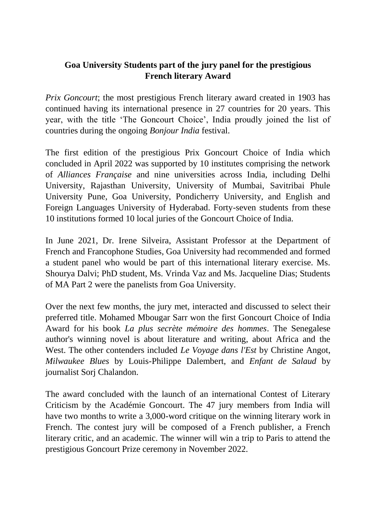## **Goa University Students part of the jury panel for the prestigious French literary Award**

*Prix Goncourt*; the most prestigious French literary award created in 1903 has continued having its international presence in 27 countries for 20 years. This year, with the title 'The Goncourt Choice', India proudly joined the list of countries during the ongoing *Bonjour India* festival.

The first edition of the prestigious Prix Goncourt Choice of India which concluded in April 2022 was supported by 10 institutes comprising the network of *Alliances Française* and nine universities across India, including Delhi University, Rajasthan University, University of Mumbai, Savitribai Phule University Pune, Goa University, Pondicherry University, and English and Foreign Languages University of Hyderabad. Forty-seven students from these 10 institutions formed 10 local juries of the Goncourt Choice of India.

In June 2021, Dr. Irene Silveira, Assistant Professor at the Department of French and Francophone Studies, Goa University had recommended and formed a student panel who would be part of this international literary exercise. Ms. Shourya Dalvi; PhD student, Ms. Vrinda Vaz and Ms. Jacqueline Dias; Students of MA Part 2 were the panelists from Goa University.

Over the next few months, the jury met, interacted and discussed to select their preferred title. Mohamed Mbougar Sarr won the first Goncourt Choice of India Award for his book *La plus secrète mémoire des hommes*. The Senegalese author's winning novel is about literature and writing, about Africa and the West. The other contenders included *Le Voyage dans l'Est* by Christine Angot, *Milwaukee Blues* by Louis-Philippe Dalembert, and *Enfant de Salaud* by journalist Sorj Chalandon.

The award concluded with the launch of an international Contest of Literary Criticism by the Académie Goncourt. The 47 jury members from India will have two months to write a 3,000-word critique on the winning literary work in French. The contest jury will be composed of a French publisher, a French literary critic, and an academic. The winner will win a trip to Paris to attend the prestigious Goncourt Prize ceremony in November 2022.